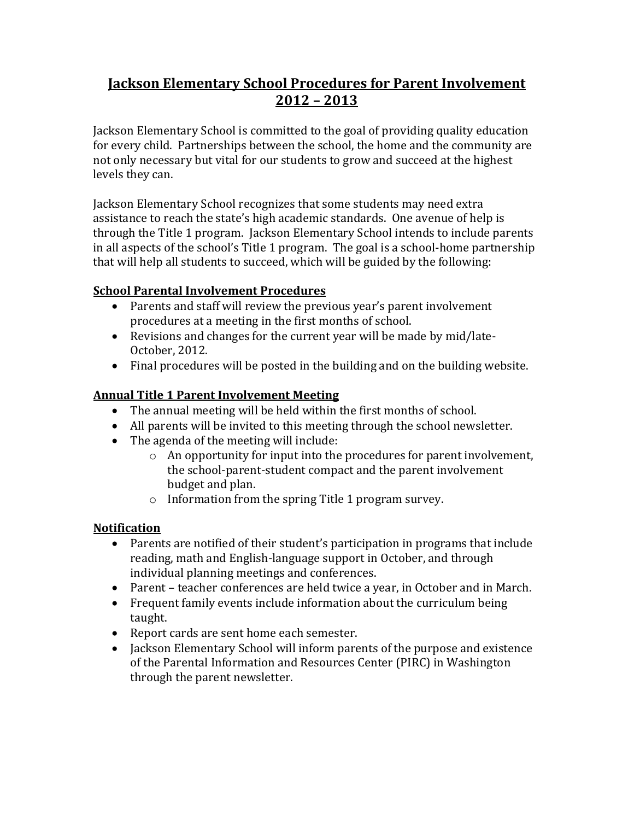# **Jackson Elementary School Procedures for Parent Involvement 2012 – 2013**

Jackson Elementary School is committed to the goal of providing quality education for every child. Partnerships between the school, the home and the community are not only necessary but vital for our students to grow and succeed at the highest levels they can.

Jackson Elementary School recognizes that some students may need extra assistance to reach the state's high academic standards. One avenue of help is through the Title 1 program. Jackson Elementary School intends to include parents in all aspects of the school's Title 1 program. The goal is a school-home partnership that will help all students to succeed, which will be guided by the following:

## **School Parental Involvement Procedures**

- Parents and staff will review the previous year's parent involvement procedures at a meeting in the first months of school.
- Revisions and changes for the current year will be made by mid/late-October, 2012.
- Final procedures will be posted in the building and on the building website.

## **Annual Title 1 Parent Involvement Meeting**

- The annual meeting will be held within the first months of school.
- All parents will be invited to this meeting through the school newsletter.
- The agenda of the meeting will include:
	- o An opportunity for input into the procedures for parent involvement, the school-parent-student compact and the parent involvement budget and plan.
	- o Information from the spring Title 1 program survey.

#### **Notification**

- Parents are notified of their student's participation in programs that include reading, math and English-language support in October, and through individual planning meetings and conferences.
- Parent teacher conferences are held twice a year, in October and in March.
- Frequent family events include information about the curriculum being taught.
- Report cards are sent home each semester.
- Jackson Elementary School will inform parents of the purpose and existence of the Parental Information and Resources Center (PIRC) in Washington through the parent newsletter.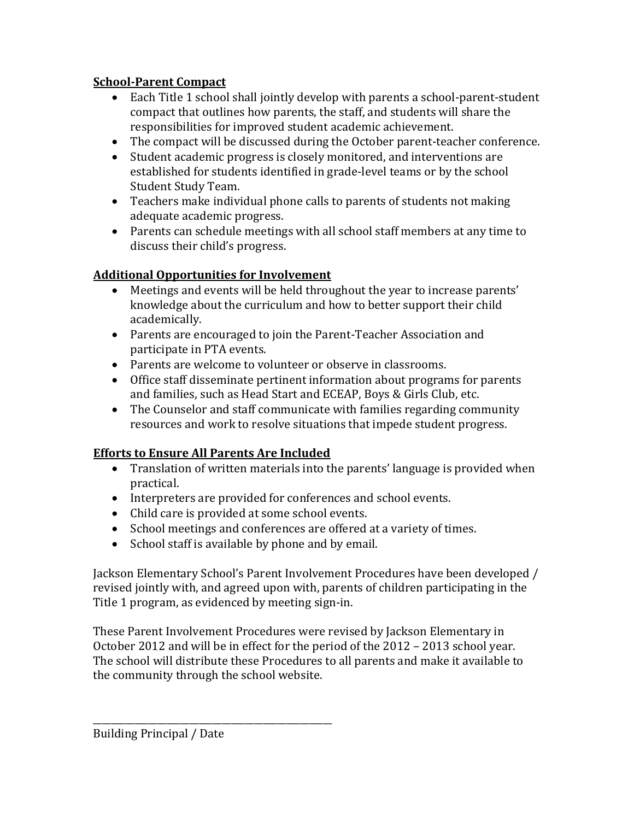## **School-Parent Compact**

- Each Title 1 school shall jointly develop with parents a school-parent-student compact that outlines how parents, the staff, and students will share the responsibilities for improved student academic achievement.
- The compact will be discussed during the October parent-teacher conference.
- Student academic progress is closely monitored, and interventions are established for students identified in grade-level teams or by the school Student Study Team.
- Teachers make individual phone calls to parents of students not making adequate academic progress.
- Parents can schedule meetings with all school staff members at any time to discuss their child's progress.

## **Additional Opportunities for Involvement**

- Meetings and events will be held throughout the year to increase parents' knowledge about the curriculum and how to better support their child academically.
- Parents are encouraged to join the Parent-Teacher Association and participate in PTA events.
- Parents are welcome to volunteer or observe in classrooms.
- Office staff disseminate pertinent information about programs for parents and families, such as Head Start and ECEAP, Boys & Girls Club, etc.
- The Counselor and staff communicate with families regarding community resources and work to resolve situations that impede student progress.

## **Efforts to Ensure All Parents Are Included**

\_\_\_\_\_\_\_\_\_\_\_\_\_\_\_\_\_\_\_\_\_\_\_\_\_\_\_\_\_\_\_\_\_\_\_\_\_\_\_\_\_\_\_\_\_\_\_\_\_\_\_\_

- Translation of written materials into the parents' language is provided when practical.
- Interpreters are provided for conferences and school events.
- Child care is provided at some school events.
- School meetings and conferences are offered at a variety of times.
- School staff is available by phone and by email.

Jackson Elementary School's Parent Involvement Procedures have been developed / revised jointly with, and agreed upon with, parents of children participating in the Title 1 program, as evidenced by meeting sign-in.

These Parent Involvement Procedures were revised by Jackson Elementary in October 2012 and will be in effect for the period of the 2012 – 2013 school year. The school will distribute these Procedures to all parents and make it available to the community through the school website.